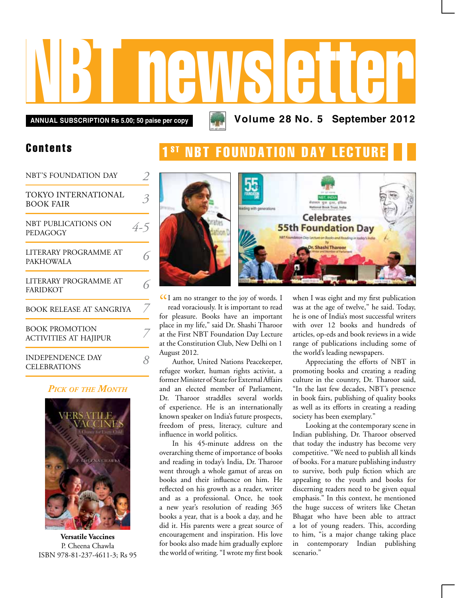# NBT newsletter

**Annual subscription Rs 5.00; 50 paise per copy Volume 28 No. 5 September 2012**

# Contents

| NBT'S FOUNDATION DAY                                  |     |
|-------------------------------------------------------|-----|
| TOKYO INTERNATIONAL<br><b>BOOK FAIR</b>               | 3   |
| NBT PUBLICATIONS ON<br>PEDAGOGY                       | 4-5 |
| LITERARY PROGRAMME AT<br><b>PAKHOWALA</b>             | ς   |
| LITERARY PROGRAMME AT<br><b>FARIDKOT</b>              | ς   |
| <b>BOOK RELEASE AT SANGRIYA</b>                       |     |
| <b>BOOK PROMOTION</b><br><b>ACTIVITIES AT HAJIPUR</b> |     |
| <b>INDEPENDENCE DAY</b><br><b>CELEBRATIONS</b>        |     |

# *Pick of the Month*



**Versatile Vaccines** P. Cheena Chawla ISBN 978-81-237-4611-3; Rs 95





CCI am no stranger to the joy of words. I<br>read voraciously. It is important to read read voraciously. It is important to read for pleasure. Books have an important place in my life," said Dr. Shashi Tharoor at the First NBT Foundation Day Lecture at the Constitution Club, New Delhi on 1 August 2012.

Author, United Nations Peacekeeper, refugee worker, human rights activist, a former Minister of State for External Affairs and an elected member of Parliament, Dr. Tharoor straddles several worlds of experience. He is an internationally known speaker on India's future prospects, freedom of press, literacy, culture and influence in world politics.

In his 45-minute address on the overarching theme of importance of books and reading in today's India, Dr. Tharoor went through a whole gamut of areas on books and their influence on him. He reflected on his growth as a reader, writer and as a professional. Once, he took a new year's resolution of reading 365 books a year, that is a book a day, and he did it. His parents were a great source of encouragement and inspiration. His love for books also made him gradually explore the world of writing. "I wrote my first book when I was eight and my first publication was at the age of twelve," he said. Today, he is one of India's most successful writers with over 12 books and hundreds of articles, op-eds and book reviews in a wide range of publications including some of the world's leading newspapers.

Appreciating the efforts of NBT in promoting books and creating a reading culture in the country, Dr. Tharoor said, "In the last few decades, NBT's presence in book fairs, publishing of quality books as well as its efforts in creating a reading society has been exemplary."

Looking at the contemporary scene in Indian publishing, Dr. Tharoor observed that today the industry has become very competitive. "We need to publish all kinds of books. For a mature publishing industry to survive, both pulp fiction which are appealing to the youth and books for discerning readers need to be given equal emphasis." In this context, he mentioned the huge success of writers like Chetan Bhagat who have been able to attract a lot of young readers. This, according to him, "is a major change taking place in contemporary Indian publishing scenario."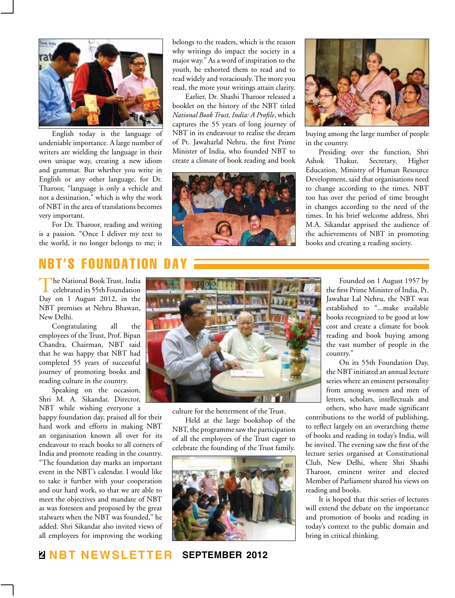

English today is the language of undeniable importance. A large number of writers are wielding the language in their own unique way, creating a new idiom and grammar. But whether you write in English or any other language, for Dr. Tharoor, "language is only a vehicle and not a destination," which is why the work of NBT in the area of translations becomes very important.

For Dr. Tharoor, reading and writing is a passion. "Once I deliver my text to the world, it no longer belongs to me; it

belongs to the readers, which is the reason why writings do impact the society in a major way." As a word of inspiration to the youth, he exhorted them to read and to read widely and voraciously. The more you read, the more your writings attain clarity.

Earlier, Dr. Shashi Tharoor released a booklet on the history of the NBT titled *National Book Trust, India: A Profile*, which captures the 55 years of long journey of NBT in its endeavour to realise the dream of Pt. Jawaharlal Nehru, the first Prime Minister of India, who founded NBT to create a climate of book reading and book





buying among the large number of people in the country.

Presiding over the function, Shri Ashok Thakur, Secretary, Higher Education, Ministry of Human Resource Development, said that organisations need to change according to the times. NBT too has over the period of time brought in changes according to the need of the times. In his brief welcome address, Shri M.A. Sikandar apprised the audience of the achievements of NBT in promoting books and creating a reading society.

# NBT's Foundation Day

The National Book Trust, India<br>celebrated its 55th Foundation Day on 1 August 2012, in the NBT premises at Nehru Bhawan, New Delhi.

Congratulating all the employees of the Trust, Prof. Bipan Chandra, Chairman, NBT said that he was happy that NBT had completed 55 years of successful journey of promoting books and reading culture in the country.

Speaking on the occasion, Shri M. A. Sikandar, Director, NBT while wishing everyone a

happy foundation day, praised all for their hard work and efforts in making NBT an organisation known all over for its endeavour to reach books to all corners of India and promote reading in the country. "The foundation day marks an important event in the NBT's calendar. I would like to take it further with your cooperation and our hard work, so that we are able to meet the objectives and mandate of NBT as was foreseen and proposed by the great stalwarts when the NBT was founded," he added. Shri Sikandar also invited views of all employees for improving the working



culture for the betterment of the Trust.

Held at the large bookshop of the NBT, the programme saw the participation of all the employees of the Trust eager to celebrate the founding of the Trust family.



Founded on 1 August 1957 by the first Prime Minister of India, Pt. Jawahar Lal Nehru, the NBT was established to "...make available books recognized to be good at low cost and create a climate for book reading and book buying among the vast number of people in the country."

On its 55th Foundation Day, the NBT initiated an annual lecture series where an eminent personality from among women and men of letters, scholars, intellectuals and others, who have made significant

contributions to the world of publishing, to reflect largely on an overarching theme of books and reading in today's India, will be invited. The evening saw the first of the lecture series organised at Constitutional Club, New Delhi, where Shri Shashi Tharoor, eminent writer and elected Member of Parliament shared his views on reading and books.

It is hoped that this series of lectures will extend the debate on the importance and promotion of books and reading in today's context to the public domain and bring in critical thinking.

# **2 NBT Newsletter september 2012**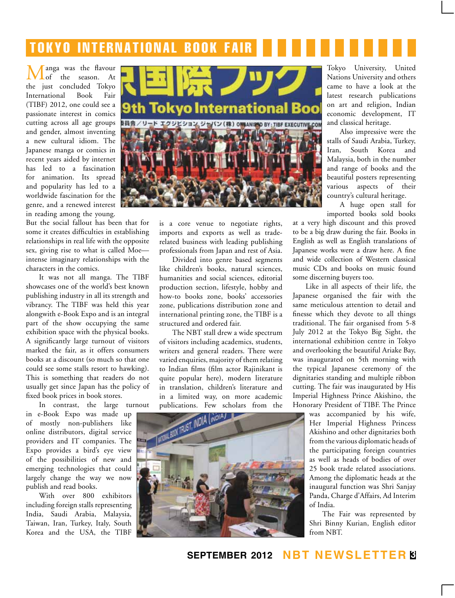# TOKYO INTERNATIONAL BOOK FAIR

anga was the flavour<br>of the season. At season. the just concluded Tokyo International Book Fair (TIBF) 2012, one could see a passionate interest in comics cutting across all age groups and gender, almost inventing a new cultural idiom. The Japanese manga or comics in recent years aided by internet has led to a fascination for animation. Its spread and popularity has led to a worldwide fascination for the genre, and a renewed interest in reading among the young.

But the social fallout has been that for some it creates difficulties in establishing relationships in real life with the opposite sex, giving rise to what is called Moe intense imaginary relationships with the characters in the comics.

It was not all manga. The TIBF showcases one of the world's best known publishing industry in all its strength and vibrancy. The TIBF was held this year alongwith e-Book Expo and is an integral part of the show occupying the same exhibition space with the physical books. A significantly large turnout of visitors marked the fair, as it offers consumers books at a discount (so much so that one could see some stalls resort to hawking). This is something that readers do not usually get since Japan has the policy of fixed book prices in book stores.

In contrast, the large turnout

in e-Book Expo was made up of mostly non-publishers like online distributors, digital service providers and IT companies. The Expo provides a bird's eye view of the possibilities of new and emerging technologies that could largely change the way we now publish and read books.

With over 800 exhibitors including foreign stalls representing India, Saudi Arabia, Malaysia, Taiwan, Iran, Turkey, Italy, South Korea and the USA, the TIBF



is a core venue to negotiate rights, imports and exports as well as traderelated business with leading publishing professionals from Japan and rest of Asia.

Divided into genre based segments like children's books, natural sciences, humanities and social sciences, editorial production section, lifestyle, hobby and how-to books zone, books' accessories zone, publications distribution zone and international printing zone, the TIBF is a structured and ordered fair.

The NBT stall drew a wide spectrum of visitors including academics, students, writers and general readers. There were varied enquiries, majority of them relating to Indian films (film actor Rajinikant is quite popular here), modern literature in translation, children's literature and in a limited way, on more academic



Tokyo University, United Nations University and others came to have a look at the latest research publications on art and religion, Indian economic development, IT and classical heritage.

Also impressive were the stalls of Saudi Arabia, Turkey, Iran, South Korea and Malaysia, both in the number and range of books and the beautiful posters representing various aspects of their country's cultural heritage.

A huge open stall for imported books sold books

at a very high discount and this proved to be a big draw during the fair. Books in English as well as English translations of Japanese works were a draw here. A fine and wide collection of Western classical music CDs and books on music found some discerning buyers too.

Like in all aspects of their life, the Japanese organised the fair with the same meticulous attention to detail and finesse which they devote to all things traditional. The fair organised from 5-8 July 2012 at the Tokyo Big Sight, the international exhibition centre in Tokyo and overlooking the beautiful Ariake Bay, was inaugurated on 5th morning with the typical Japanese ceremony of the dignitaries standing and multiple ribbon cutting. The fair was inaugurated by His Imperial Highness Prince Akishino, the Honorary President of TIBF. The Prince

> was accompanied by his wife, Her Imperial Highness Princess Akishino and other dignitaries both from the various diplomatic heads of the participating foreign countries as well as heads of bodies of over 25 book trade related associations. Among the diplomatic heads at the inaugural function was Shri Sanjay Panda, Charge d'Affairs, Ad Interim of India.

> The Fair was represented by Shri Binny Kurian, English editor from NBT.

# **september 2012 NBT Newsletter 3**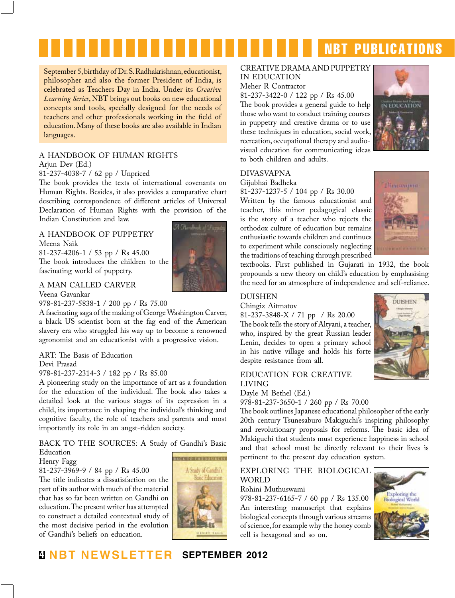# **NBT PUBLICATIONS**

September 5, birthday of Dr. S. Radhakrishnan, educationist, philosopher and also the former President of India, is celebrated as Teachers Day in India. Under its *Creative Learning Series*, NBT brings out books on new educational concepts and tools, specially designed for the needs of teachers and other professionals working in the field of education. Many of these books are also available in Indian languages.

# a handbook of human rights

Arjun Dev (Ed.)

### 81-237-4038-7 / 62 pp / Unpriced

The book provides the texts of international covenants on Human Rights. Besides, it also provides a comparative chart describing correspondence of different articles of Universal Declaration of Human Rights with the provision of the Indian Constitution and law.

### A HANDBOOK OF PUPPETRY Meena Naik

81-237-4206-1 / 53 pp / Rs 45.00 The book introduces the children to the fascinating world of puppetry.

# A MAN CALLED CARVER

Veena Gavankar

978-81-237-5838-1 / 200 pp / Rs 75.00

A fascinating saga of the making of George Washington Carver, a black US scientist born at the fag end of the American slavery era who struggled his way up to become a renowned agronomist and an educationist with a progressive vision.

# ART: The Basis of Education

Devi Prasad

# 978-81-237-2314-3 / 182 pp / Rs 85.00

A pioneering study on the importance of art as a foundation for the education of the individual. The book also takes a detailed look at the various stages of its expression in a child, its importance in shaping the individual's thinking and cognitive faculty, the role of teachers and parents and most importantly its role in an angst-ridden society.

back to the sources: A Study of Gandhi's Basic Education

### Henry Fagg

## 81-237-3969-9 / 84 pp / Rs 45.00

The title indicates a dissatisfaction on the part of its author with much of the material that has so far been written on Gandhi on education. The present writer has attempted to construct a detailed contextual study of the most decisive period in the evolution of Gandhi's beliefs on education.



### creative drama and puppetry in education

Meher R Contractor

81-237-3422-0 / 122 pp / Rs 45.00

The book provides a general guide to help those who want to conduct training courses in puppetry and creative drama or to use these techniques in education, social work, recreation, occupational therapy and audiovisual education for communicating ideas to both children and adults.



# Divasvapna

Gijubhai Badheka

81-237-1237-5 / 104 pp / Rs 30.00 Written by the famous educationist and teacher, this minor pedagogical classic is the story of a teacher who rejects the orthodox culture of education but remains enthusiastic towards children and continues to experiment while consciously neglecting the traditions of teaching through prescribed



**DUISHEN** 

textbooks. First published in Gujarati in 1932, the book propounds a new theory on child's education by emphasising the need for an atmosphere of independence and self-reliance.

# **DUISHEN**

Chingiz Aitmatov

81-237-3848-X / 71 pp / Rs 20.00 The book tells the story of Altyani, a teacher, who, inspired by the great Russian leader Lenin, decides to open a primary school in his native village and holds his forte despite resistance from all.

# education for creative living

Dayle M Bethel (Ed.) 978-81-237-3650-1 / 260 pp / Rs 70.00

The book outlines Japanese educational philosopher of the early 20th century Tsunesaburo Makiguchi's inspiring philosophy and revolutionary proposals for reforms. The basic idea of Makiguchi that students must experience happiness in school and that school must be directly relevant to their lives is

# EXPLORING THE BIOLOGICAL WORLD

pertinent to the present day education system.

Rohini Muthuswami

978-81-237-6165-7 / 60 pp / Rs 135.00 An interesting manuscript that explains biological concepts through various streams of science, for example why the honey comb cell is hexagonal and so on.



# **4 NBT Newsletter september 2012**

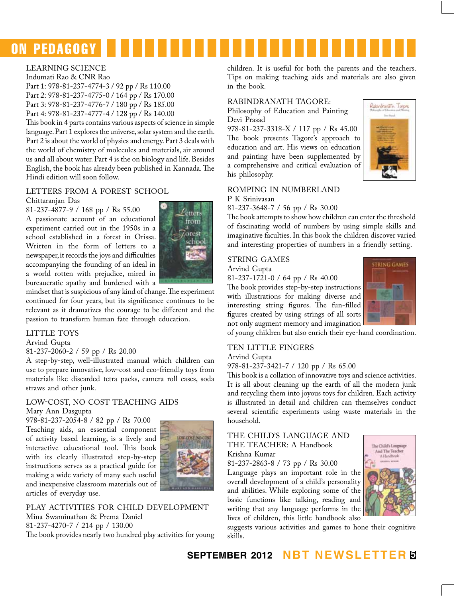

### Learning Science

Indumati Rao & CNR Rao Part 1: 978-81-237-4774-3 / 92 pp / Rs 110.00 Part 2: 978-81-237-4775-0 / 164 pp / Rs 170.00 Part 3: 978-81-237-4776-7 / 180 pp / Rs 185.00 Part 4: 978-81-237-4777-4 / 128 pp / Rs 140.00

This book in 4 parts contains various aspects of science in simple language. Part 1 explores the universe, solar system and the earth. Part 2 is about the world of physics and energy. Part 3 deals with the world of chemistry of molecules and materials, air around us and all about water. Part 4 is the on biology and life. Besides English, the book has already been published in Kannada. The Hindi edition will soon follow.

# LETTERS FROM A FOREST SCHOOL

Chittaranjan Das

81-237-4877-9 / 168 pp / Rs 55.00 A passionate account of an educational experiment carried out in the 1950s in a school established in a forest in Orissa. Written in the form of letters to a newspaper, it records the joys and difficulties accompanying the founding of an ideal in a world rotten with prejudice, mired in bureaucratic apathy and burdened with a



mindset that is suspicious of any kind of change. The experiment continued for four years, but its significance continues to be relevant as it dramatizes the courage to be different and the passion to transform human fate through education.

# LITTLE TOYS

Arvind Gupta

### 81-237-2060-2 / 59 pp / Rs 20.00

A step-by-step, well-illustrated manual which children can use to prepare innovative, low-cost and eco-friendly toys from materials like discarded tetra packs, camera roll cases, soda straws and other junk.

# Low-cost, no cost teaching aids Mary Ann Dasgupta

978-81-237-2054-8 / 82 pp / Rs 70.00 Teaching aids, an essential component of activity based learning, is a lively and interactive educational tool. This book with its clearly illustrated step-by-step instructions serves as a practical guide for making a wide variety of many such useful and inexpensive classroom materials out of articles of everyday use.



play activities for child development Mina Swaminathan & Prema Daniel 81-237-4270-7 / 214 pp / 130.00 The book provides nearly two hundred play activities for young children. It is useful for both the parents and the teachers. Tips on making teaching aids and materials are also given in the book.

### rabindranath tagore:

Philosophy of Education and Painting Devi Prasad

978-81-237-3318-X / 117 pp / Rs 45.00 The book presents Tagore's approach to education and art. His views on education and painting have been supplemented by a comprehensive and critical evaluation of his philosophy.



### romping in numberland P K Srinivasan

81-237-3648-7 / 56 pp / Rs 30.00

The book attempts to show how children can enter the threshold of fascinating world of numbers by using simple skills and imaginative faculties. In this book the children discover varied and interesting properties of numbers in a friendly setting.

# string games

Arvind Gupta

81-237-1721-0 / 64 pp / Rs 40.00 The book provides step-by-step instructions with illustrations for making diverse and interesting string figures. The fun-filled figures created by using strings of all sorts not only augment memory and imagination



of young children but also enrich their eye-hand coordination.

# ten little fingers

Arvind Gupta

978-81-237-3421-7 / 120 pp / Rs 65.00

This book is a collation of innovative toys and science activities. It is all about cleaning up the earth of all the modern junk and recycling them into joyous toys for children. Each activity is illustrated in detail and children can themselves conduct several scientific experiments using waste materials in the household.

### The child's language and THE TEACHER: A Handbook Krishna Kumar

81-237-2863-8 / 73 pp / Rs 30.00

Language plays an important role in the overall development of a child's personality and abilities. While exploring some of the basic functions like talking, reading and writing that any language performs in the lives of children, this little handbook also



suggests various activities and games to hone their cognitive skills.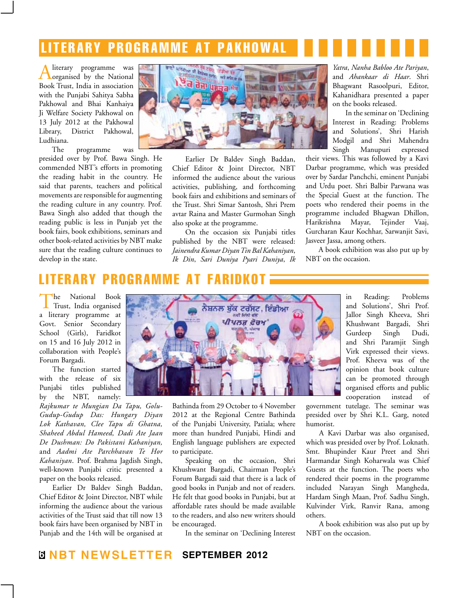# l i t erary programme a t pakhowal

Aliterary programme was organised by the National Book Trust, India in association with the Punjabi Sahitya Sabha Pakhowal and Bhai Kanhaiya Ji Welfare Society Pakhowal on 13 July 2012 at the Pakhowal Library, District Pakhowal, Ludhiana.

The programme was presided over by Prof. Bawa Singh. He commended NBT's efforts in promoting the reading habit in the country. He said that parents, teachers and political movements are responsible for augmenting the reading culture in any country. Prof. Bawa Singh also added that though the reading public is less in Punjab yet the book fairs, book exhibitions, seminars and other book-related activities by NBT make sure that the reading culture continues to develop in the state.



Earlier Dr Baldev Singh Baddan, Chief Editor & Joint Director, NBT informed the audience about the various activities, publishing, and forthcoming book fairs and exhibitions and seminars of the Trust. Shri Simar Santosh, Shri Prem avtar Raina and Master Gurmohan Singh also spoke at the programme.

On the occasion six Punjabi titles published by the NBT were released: *Jainendra Kumar Diyan Tin Bal Kahaniyan*, *Ik Din*, *Sari Duniya Pyari Duniya*, *Ik* 

*Yatra*, *Nanha Babloo Ate Pariyan*, and *Ahankaar di Haar*. Shri Bhagwant Rasoolpuri, Editor, Kahanidhara presented a paper on the books released.

In the seminar on 'Declining Interest in Reading: Problems and Solutions', Shri Harish Modgil and Shri Mahendra Singh Manupuri expressed

their views. This was followed by a Kavi Darbar programme, which was presided over by Sardar Panchchi, eminent Punjabi and Urdu poet. Shri Balbir Parwana was the Special Guest at the function. The poets who rendered their poems in the programme included Bhagwan Dhillon, Harikrishna Mayar, Tejinder Vaaj, Gurcharan Kaur Kochhar, Sarwanjit Savi, Jasveer Jassa, among others.

A book exhibition was also put up by NBT on the occasion.

# literary programme at faridkot

The National Book Trust, India organised a literary programme at Govt. Senior Secondary School (Girls), Faridkot on 15 and 16 July 2012 in collaboration with People's Forum Bargadi.

The function started with the release of six Punjabi titles published by the NBT, namely:

*Rajkumar te Mungian Da Tapu, Golu-Gudup-Gudup Das: Hungary Diyan Lok Kathavan, Clee Tapu di Ghatna, Shaheed Abdul Hameed, Dadi Ate Jaan De Dushman: Do Pakistani Kahaniyan,*  and *Aadmi Ate Parchhavan Te Hor Kahaniyan*. Prof. Brahma Jagdish Singh, well-known Punjabi critic presented a paper on the books released.

Earlier Dr Baldev Singh Baddan, Chief Editor & Joint Director, NBT while informing the audience about the various activities of the Trust said that till now 13 book fairs have been organised by NBT in Punjab and the 14th will be organised at



Bathinda from 29 October to 4 November 2012 at the Regional Centre Bathinda of the Punjabi University, Patiala; where more than hundred Punjabi, Hindi and English language publishers are expected to participate.

Speaking on the occasion, Shri Khushwant Bargadi, Chairman People's Forum Bargadi said that there is a lack of good books in Punjab and not of readers. He felt that good books in Punjabi, but at affordable rates should be made available to the readers, and also new writers should be encouraged.

In the seminar on 'Declining Interest

in Reading: Problems and Solutions', Shri Prof. Jallor Singh Kheeva, Shri Khushwant Bargadi, Shri Gurdeep Singh Dudi, and Shri Paramjit Singh Virk expressed their views. Prof. Kheeva was of the opinion that book culture can be promoted through organised efforts and public cooperation instead of

government tutelage. The seminar was presided over by Shri K.L. Garg, noted humorist.

A Kavi Darbar was also organised, which was presided over by Prof. Loknath. Smt. Bhupinder Kaur Preet and Shri Harmandar Singh Koharwala was Chief Guests at the function. The poets who rendered their poems in the programme included Narayan Singh Mangheda, Hardam Singh Maan, Prof. Sadhu Singh, Kulvinder Virk, Ranvir Rana, among others.

A book exhibition was also put up by NBT on the occasion.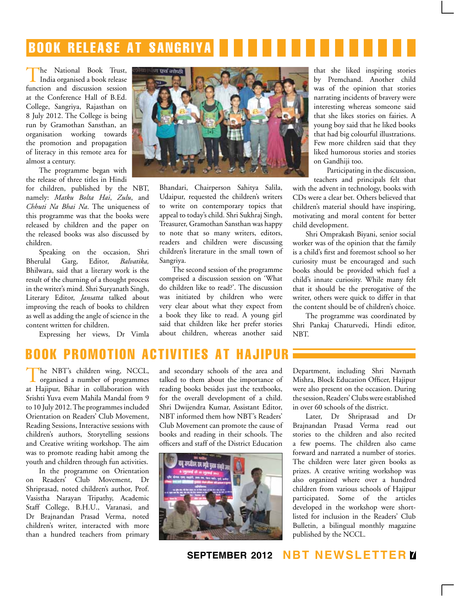# book release at sangriya

The National Book Trust, India organised a book release function and discussion session at the Conference Hall of B.Ed. College, Sangriya, Rajasthan on 8 July 2012. The College is being run by Gramothan Sansthan, an organisation working towards the promotion and propagation of literacy in this remote area for almost a century.

The programme began with the release of three titles in Hindi

for children, published by the NBT, namely: *Matku Bolta Hai*, *Zulu*, and *Chhuti Na Bhai Na*. The uniqueness of this programme was that the books were released by children and the paper on the released books was also discussed by children.

Speaking on the occasion, Shri Bherulal Garg, Editor, *Balvatika,* Bhilwara, said that a literary work is the result of the churning of a thought process in the writer's mind. Shri Suryanath Singh, Literary Editor, *Jansatta* talked about improving the reach of books to children as well as adding the angle of science in the content written for children.

Expressing her views, Dr Vimla



Bhandari, Chairperson Sahitya Salila, Udaipur, requested the children's writers to write on contemporary topics that appeal to today's child. Shri Sukhraj Singh, Treasurer, Gramothan Sansthan was happy to note that so many writers, editors, readers and children were discussing children's literature in the small town of Sangriya.

The second session of the programme comprised a discussion session on 'What do children like to read?'. The discussion was initiated by children who were very clear about what they expect from a book they like to read. A young girl said that children like her prefer stories about children, whereas another said

that she liked inspiring stories by Premchand. Another child was of the opinion that stories narrating incidents of bravery were interesting whereas someone said that she likes stories on fairies. A young boy said that he liked books that had big colourful illustrations. Few more children said that they liked humorous stories and stories on Gandhiji too.

Participating in the discussion, teachers and principals felt that

with the advent in technology, books with CDs were a clear bet. Others believed that children's material should have inspiring, motivating and moral content for better child development.

Shri Omprakash Biyani, senior social worker was of the opinion that the family is a child's first and foremost school so her curiosity must be encouraged and such books should be provided which fuel a child's innate curiosity. While many felt that it should be the prerogative of the writer, others were quick to differ in that the content should be of children's choice.

The programme was coordinated by Shri Pankaj Chaturvedi, Hindi editor, NBT.

# **BOOK PROMOTION**

The NBT's children wing, NCCL, organised a number of programmes at Hajipur, Bihar in collaboration with Srishti Yuva evem Mahila Mandal from 9 to 10 July 2012. The programmes included Orientation on Readers' Club Movement, Reading Sessions, Interactive sessions with children's authors, Storytelling sessions and Creative writing workshop. The aim was to promote reading habit among the youth and children through fun activities.

In the programme on Orientation on Readers' Club Movement, Dr Shriprasad, noted children's author, Prof. Vasistha Narayan Tripathy, Academic Staff College, B.H.U., Varanasi, and Dr Brajnandan Prasad Verma, noted children's writer, interacted with more than a hundred teachers from primary and secondary schools of the area and talked to them about the importance of reading books besides just the textbooks, for the overall development of a child. Shri Dwijendra Kumar, Assistant Editor, NBT informed them how NBT's Readers' Club Movement can promote the cause of books and reading in their schools. The officers and staff of the District Education



Department, including Shri Navnath Mishra, Block Education Officer, Hajipur were also present on the occasion. During the session, Readers' Clubs were established in over 60 schools of the district.

Later, Dr Shriprasad and Dr Brajnandan Prasad Verma read out stories to the children and also recited a few poems. The children also came forward and narrated a number of stories. The children were later given books as prizes. A creative writing workshop was also organized where over a hundred children from various schools of Hajipur participated. Some of the articles developed in the workshop were shortlisted for inclusion in the Readers' Club Bulletin, a bilingual monthly magazine published by the NCCL.

**september 2012 NBT Newsletter 7**